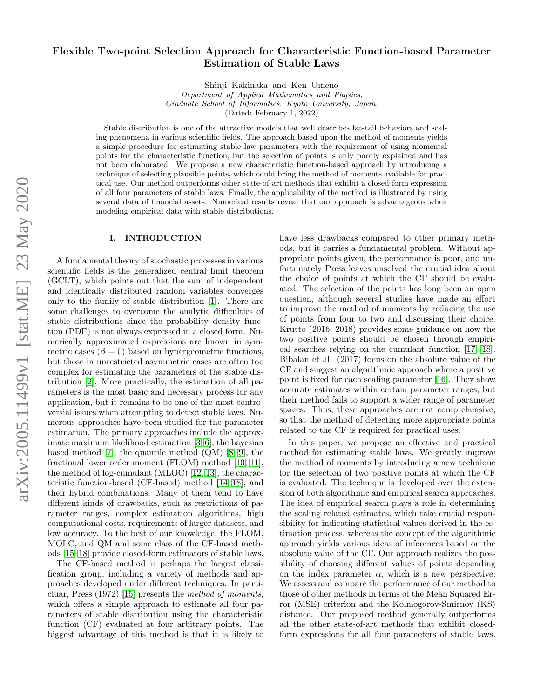# Flexible Two-point Selection Approach for Characteristic Function-based Parameter Estimation of Stable Laws

Shinji Kakinaka and Ken Umeno Department of Applied Mathematics and Physics,

Graduate School of Informatics, Kyoto University, Japan.

(Dated: February 1, 2022)

Stable distribution is one of the attractive models that well describes fat-tail behaviors and scaling phenomena in various scientific fields. The approach based upon the method of moments yields a simple procedure for estimating stable law parameters with the requirement of using momental points for the characteristic function, but the selection of points is only poorly explained and has not been elaborated. We propose a new characteristic function-based approach by introducing a technique of selecting plausible points, which could bring the method of moments available for practical use. Our method outperforms other state-of-art methods that exhibit a closed-form expression of all four parameters of stable laws. Finally, the applicability of the method is illustrated by using several data of financial assets. Numerical results reveal that our approach is advantageous when modeling empirical data with stable distributions.

# I. INTRODUCTION

A fundamental theory of stochastic processes in various scientific fields is the generalized central limit theorem (GCLT), which points out that the sum of independent and identically distributed random variables converges only to the family of stable distribution [\[1\]](#page-11-0). There are some challenges to overcome the analytic difficulties of stable distributions since the probability density function (PDF) is not always expressed in a closed form. Numerically approximated expressions are known in symmetric cases ( $\beta = 0$ ) based on hypergeometric functions, but those in unrestricted asymmetric cases are often too complex for estimating the parameters of the stable distribution [\[2\]](#page-11-1). More practically, the estimation of all parameters is the most basic and necessary process for any application, but it remains to be one of the most controversial issues when attempting to detect stable laws. Numerous approaches have been studied for the parameter estimation. The primary approaches include the approximate maximum likelihood estimation [\[3](#page-11-2)[–6\]](#page-11-3), the bayesian based method [\[7\]](#page-11-4), the quantile method (QM) [\[8,](#page-11-5) [9\]](#page-11-6), the fractional lower order moment (FLOM) method [\[10,](#page-11-7) [11\]](#page-11-8), the method of log-cumulant (MLOC) [\[12,](#page-11-9) [13\]](#page-11-10), the characteristic function-based (CF-based) method [\[14](#page-11-11)[–18\]](#page-12-0), and their hybrid combinations. Many of them tend to have different kinds of drawbacks, such as restrictions of parameter ranges, complex estimation algorithms, high computational costs, requirements of larger datasets, and low accuracy. To the best of our knowledge, the FLOM, MOLC, and QM and some class of the CF-based methods [\[15](#page-12-1)[–18\]](#page-12-0) provide closed-form estimators of stable laws.

The CF-based method is perhaps the largest classification group, including a variety of methods and approaches developed under different techniques. In particluar, Press (1972) [\[15\]](#page-12-1) presents the method of moments, which offers a simple approach to estimate all four parameters of stable distribution using the characteristic function (CF) evaluated at four arbitrary points. The biggest advantage of this method is that it is likely to have less drawbacks compared to other primary methods, but it carries a fundamental problem. Without appropriate points given, the performance is poor, and unfortunately Press leaves unsolved the crucial idea about the choice of points at which the CF should be evaluated. The selection of the points has long been an open question, although several studies have made an effort to improve the method of moments by reducing the use of points from four to two and discussing their choice. Krutto (2016, 2018) provides some guidance on how the two positive points should be chosen through empirical searches relying on the cumulant function [\[17,](#page-12-2) [18\]](#page-12-0). Bibalan et al. (2017) focus on the absolute value of the CF and suggest an algorithmic approach where a positive point is fixed for each scaling parameter [\[16\]](#page-12-3). They show accurate estimates within certain parameter ranges, but their method fails to support a wider range of parameter spaces. Thus, these approaches are not comprehensive, so that the method of detecting more appropriate points related to the CF is required for practical uses.

In this paper, we propose an effective and practical method for estimating stable laws. We greatly improve the method of moments by introducing a new technique for the selection of two positive points at which the CF is evaluated. The technique is developed over the extension of both algorithmic and empirical search approaches. The idea of empirical search plays a role in determining the scaling related estimates, which take crucial responsibility for indicating statistical values derived in the estimation process, whereas the concept of the algorithmic approach yields various ideas of inferences based on the absolute value of the CF. Our approach realizes the possibility of choosing different values of points depending on the index parameter  $\alpha$ , which is a new perspective. We assess and compare the performance of our method to those of other methods in terms of the Mean Squared Error (MSE) criterion and the Kolmogorov-Smirnov (KS) distance. Our proposed method generally outperforms all the other state-of-art methods that exhibit closedform expressions for all four parameters of stable laws.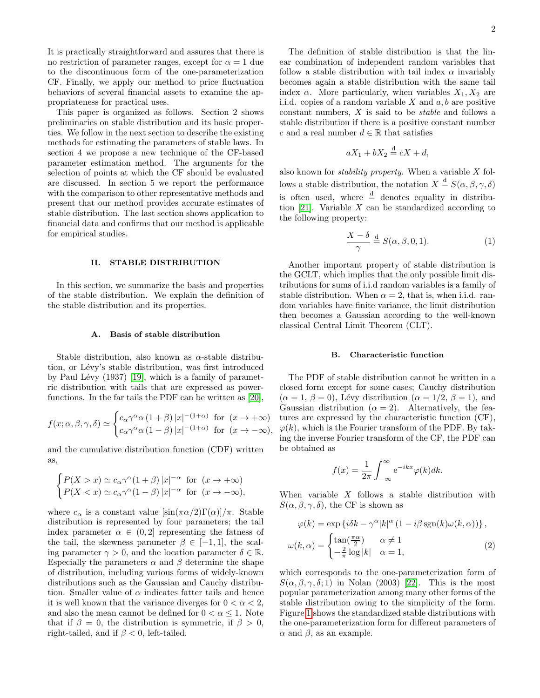It is practically straightforward and assures that there is no restriction of parameter ranges, except for  $\alpha = 1$  due to the discontinuous form of the one-parameterization CF. Finally, we apply our method to price fluctuation behaviors of several financial assets to examine the appropriateness for practical uses.

This paper is organized as follows. Section 2 shows preliminaries on stable distribution and its basic properties. We follow in the next section to describe the existing methods for estimating the parameters of stable laws. In section 4 we propose a new technique of the CF-based parameter estimation method. The arguments for the selection of points at which the CF should be evaluated are discussed. In section 5 we report the performance with the comparison to other representative methods and present that our method provides accurate estimates of stable distribution. The last section shows application to financial data and confirms that our method is applicable for empirical studies.

#### II. STABLE DISTRIBUTION

In this section, we summarize the basis and properties of the stable distribution. We explain the definition of the stable distribution and its properties.

#### A. Basis of stable distribution

Stable distribution, also known as  $\alpha$ -stable distribution, or Lévy's stable distribution, was first introduced by Paul Lévy  $(1937)$  [\[19\]](#page-12-4), which is a family of parametric distribution with tails that are expressed as powerfunctions. In the far tails the PDF can be written as [\[20\]](#page-12-5),

$$
f(x; \alpha, \beta, \gamma, \delta) \simeq \begin{cases} c_{\alpha} \gamma^{\alpha} \alpha (1+\beta) |x|^{-(1+\alpha)} & \text{for } (x \to +\infty) \\ c_{\alpha} \gamma^{\alpha} \alpha (1-\beta) |x|^{-(1+\alpha)} & \text{for } (x \to -\infty), \end{cases}
$$

and the cumulative distribution function (CDF) written as,

$$
\begin{cases} P(X > x) \simeq c_{\alpha} \gamma^{\alpha} (1 + \beta) |x|^{-\alpha} \text{ for } (x \to +\infty) \\ P(X < x) \simeq c_{\alpha} \gamma^{\alpha} (1 - \beta) |x|^{-\alpha} \text{ for } (x \to -\infty), \end{cases}
$$

where  $c_{\alpha}$  is a constant value  $[\sin(\pi \alpha/2)\Gamma(\alpha)]/\pi$ . Stable distribution is represented by four parameters; the tail index parameter  $\alpha \in (0, 2]$  representing the fatness of the tail, the skewness parameter  $\beta \in [-1, 1]$ , the scaling parameter  $\gamma > 0$ , and the location parameter  $\delta \in \mathbb{R}$ . Especially the parameters  $\alpha$  and  $\beta$  determine the shape of distribution, including various forms of widely-known distributions such as the Gaussian and Cauchy distribution. Smaller value of  $\alpha$  indicates fatter tails and hence it is well known that the variance diverges for  $0 < \alpha < 2$ , and also the mean cannot be defined for  $0 < \alpha \leq 1$ . Note that if  $\beta = 0$ , the distribution is symmetric, if  $\beta > 0$ , right-tailed, and if  $\beta$  < 0, left-tailed.

The definition of stable distribution is that the linear combination of independent random variables that follow a stable distribution with tail index  $\alpha$  invariably becomes again a stable distribution with the same tail index  $\alpha$ . More particularly, when variables  $X_1, X_2$  are i.i.d. copies of a random variable  $X$  and  $a, b$  are positive constant numbers,  $X$  is said to be *stable* and follows a stable distribution if there is a positive constant number c and a real number  $d \in \mathbb{R}$  that satisfies

$$
aX_1 + bX_2 \stackrel{\text{d}}{=} cX + d,
$$

also known for *stability property*. When a variable  $X$  follows a stable distribution, the notation  $X \stackrel{\text{d}}{=} S(\alpha, \beta, \gamma, \delta)$ is often used, where  $\frac{d}{dx}$  denotes equality in distribution  $[21]$ . Variable X can be standardized according to the following property:

$$
\frac{X-\delta}{\gamma} \stackrel{\text{d}}{=} S(\alpha, \beta, 0, 1). \tag{1}
$$

Another important property of stable distribution is the GCLT, which implies that the only possible limit distributions for sums of i.i.d random variables is a family of stable distribution. When  $\alpha = 2$ , that is, when i.i.d. random variables have finite variance, the limit distribution then becomes a Gaussian according to the well-known classical Central Limit Theorem (CLT).

#### B. Characteristic function

The PDF of stable distribution cannot be written in a closed form except for some cases; Cauchy distribution  $(\alpha = 1, \beta = 0)$ , Lévy distribution  $(\alpha = 1/2, \beta = 1)$ , and Gaussian distribution ( $\alpha = 2$ ). Alternatively, the features are expressed by the characteristic function (CF),  $\varphi(k)$ , which is the Fourier transform of the PDF. By taking the inverse Fourier transform of the CF, the PDF can be obtained as

<span id="page-1-0"></span>
$$
f(x) = \frac{1}{2\pi} \int_{-\infty}^{\infty} e^{-ikx} \varphi(k) dk.
$$

When variable  $X$  follows a stable distribution with  $S(\alpha, \beta, \gamma, \delta)$ , the CF is shown as

$$
\varphi(k) = \exp \left\{ i \delta k - \gamma^{\alpha} |k|^{\alpha} (1 - i\beta \operatorname{sgn}(k)\omega(k, \alpha)) \right\},
$$

$$
\omega(k, \alpha) = \begin{cases} \tan(\frac{\pi \alpha}{2}) & \alpha \neq 1 \\ -\frac{2}{\pi} \log |k| & \alpha = 1, \end{cases}
$$
(2)

which corresponds to the one-parameterization form of  $S(\alpha, \beta, \gamma, \delta; 1)$  in Nolan (2003) [\[22\]](#page-12-7). This is the most popular parameterization among many other forms of the stable distribution owing to the simplicity of the form. Figure [1](#page-2-0) shows the standardized stable distributions with the one-parameterization form for different parameters of  $\alpha$  and  $\beta$ , as an example.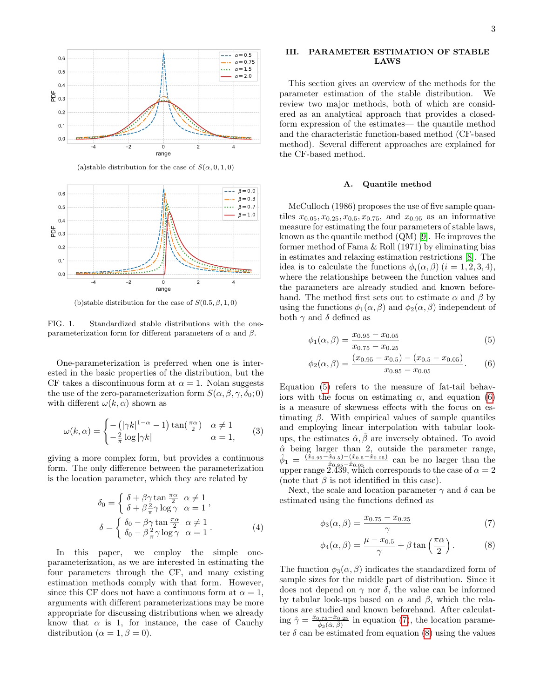

(a)stable distribution for the case of  $S(\alpha, 0, 1, 0)$ 



<span id="page-2-0"></span>(b)stable distribution for the case of  $S(0.5, \beta, 1, 0)$ 

FIG. 1. Standardized stable distributions with the oneparameterization form for different parameters of  $\alpha$  and  $\beta$ .

One-parameterization is preferred when one is interested in the basic properties of the distribution, but the CF takes a discontinuous form at  $\alpha = 1$ . Nolan suggests the use of the zero-parameterization form  $S(\alpha, \beta, \gamma, \delta_0; 0)$ with different  $\omega(k, \alpha)$  shown as

$$
\omega(k,\alpha) = \begin{cases}\n- \left( |\gamma k|^{1-\alpha} - 1 \right) \tan(\frac{\pi \alpha}{2}) & \alpha \neq 1 \\
-\frac{2}{\pi} \log |\gamma k| & \alpha = 1,\n\end{cases}\n\tag{3}
$$

giving a more complex form, but provides a continuous form. The only difference between the parameterization is the location parameter, which they are related by

$$
\delta_0 = \begin{cases}\n\delta + \beta \gamma \tan \frac{\pi \alpha}{2} & \alpha \neq 1 \\
\delta + \beta \frac{2}{\pi} \gamma \log \gamma & \alpha = 1\n\end{cases},
$$
\n
$$
\delta = \begin{cases}\n\delta_0 - \beta \gamma \tan \frac{\pi \alpha}{2} & \alpha \neq 1 \\
\delta_0 - \beta \frac{2}{\pi} \gamma \log \gamma & \alpha = 1\n\end{cases} (4)
$$

In this paper, we employ the simple oneparameterization, as we are interested in estimating the four parameters through the CF, and many existing estimation methods comply with that form. However, since this CF does not have a continuous form at  $\alpha = 1$ , arguments with different parameterizations may be more appropriate for discussing distributions when we already know that  $\alpha$  is 1, for instance, the case of Cauchy distribution ( $\alpha = 1, \beta = 0$ ).

# III. PARAMETER ESTIMATION OF STABLE LAWS

This section gives an overview of the methods for the parameter estimation of the stable distribution. We review two major methods, both of which are considered as an analytical approach that provides a closedform expression of the estimates— the quantile method and the characteristic function-based method (CF-based method). Several different approaches are explained for the CF-based method.

# A. Quantile method

McCulloch (1986) proposes the use of five sample quantiles  $x_{0.05}, x_{0.25}, x_{0.5}, x_{0.75}$ , and  $x_{0.95}$  as an informative measure for estimating the four parameters of stable laws, known as the quantile method (QM) [\[9\]](#page-11-6). He improves the former method of Fama & Roll (1971) by eliminating bias in estimates and relaxing estimation restrictions [\[8\]](#page-11-5). The idea is to calculate the functions  $\phi_i(\alpha, \beta)$   $(i = 1, 2, 3, 4)$ , where the relationships between the function values and the parameters are already studied and known beforehand. The method first sets out to estimate  $\alpha$  and  $\beta$  by using the functions  $\phi_1(\alpha, \beta)$  and  $\phi_2(\alpha, \beta)$  independent of both  $\gamma$  and  $\delta$  defined as

<span id="page-2-2"></span><span id="page-2-1"></span>
$$
\phi_1(\alpha, \beta) = \frac{x_{0.95} - x_{0.05}}{x_{0.75} - x_{0.25}}
$$
\n(5)

$$
\phi_2(\alpha, \beta) = \frac{(x_{0.95} - x_{0.5}) - (x_{0.5} - x_{0.05})}{x_{0.95} - x_{0.05}}.
$$
 (6)

<span id="page-2-5"></span>Equation [\(5\)](#page-2-1) refers to the measure of fat-tail behaviors with the focus on estimating  $\alpha$ , and equation [\(6\)](#page-2-2) is a measure of skewness effects with the focus on estimating  $\beta$ . With empirical values of sample quantiles and employing linear interpolation with tabular lookups, the estimates  $\hat{\alpha}, \hat{\beta}$  are inversely obtained. To avoid  $\hat{\alpha}$  being larger than 2, outside the parameter range,  $\hat{\phi}_1 = \frac{(\hat{x}_{0.95} - \hat{x}_{0.5}) - (\hat{x}_{0.5} - \hat{x}_{0.05})}{\hat{x}_{0.95} - \hat{x}_{0.05}}$  $\frac{x_{0.5} - (x_{0.5} - x_{0.05})}{x_{0.95} - x_{0.05}}$  can be no larger than the upper range 2.439, which corresponds to the case of  $\alpha = 2$ (note that  $\beta$  is not identified in this case).

<span id="page-2-6"></span>Next, the scale and location parameter  $\gamma$  and  $\delta$  can be estimated using the functions defined as

<span id="page-2-3"></span>
$$
\phi_3(\alpha, \beta) = \frac{x_{0.75} - x_{0.25}}{\gamma}
$$
 (7)

<span id="page-2-4"></span>
$$
\phi_4(\alpha, \beta) = \frac{\mu - x_{0.5}}{\gamma} + \beta \tan\left(\frac{\pi \alpha}{2}\right). \tag{8}
$$

The function  $\phi_3(\alpha, \beta)$  indicates the standardized form of sample sizes for the middle part of distribution. Since it does not depend on  $\gamma$  nor  $\delta$ , the value can be informed by tabular look-ups based on  $\alpha$  and  $\beta$ , which the relations are studied and known beforehand. After calculating  $\hat{\gamma} = \frac{\hat{x}_{0.75} - \hat{x}_{0.25}}{\hat{\phi}_3(\hat{\alpha}, \hat{\beta})}$  in equation [\(7\)](#page-2-3), the location parameter  $\delta$  can be estimated from equation [\(8\)](#page-2-4) using the values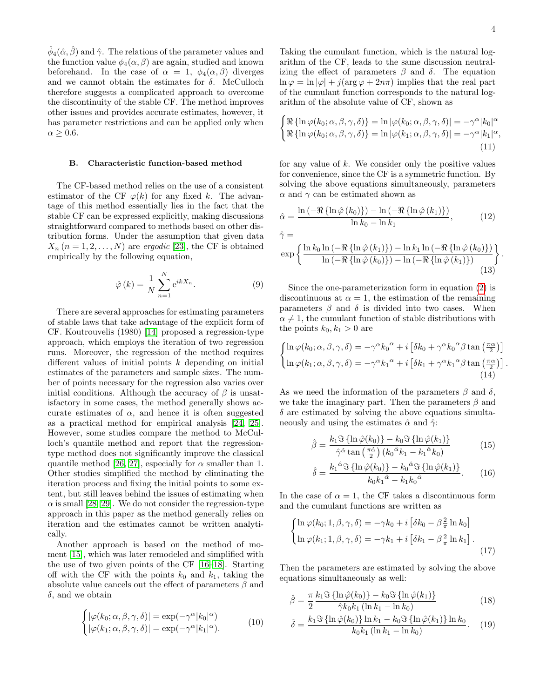$\hat{\phi}_4(\hat{\alpha}, \hat{\beta})$  and  $\hat{\gamma}$ . The relations of the parameter values and the function value  $\phi_4(\alpha, \beta)$  are again, studied and known beforehand. In the case of  $\alpha = 1$ ,  $\phi_4(\alpha, \beta)$  diverges and we cannot obtain the estimates for  $\delta$ . McCulloch therefore suggests a complicated approach to overcome the discontinuity of the stable CF. The method improves other issues and provides accurate estimates, however, it has parameter restrictions and can be applied only when  $\alpha > 0.6$ .

## B. Characteristic function-based method

The CF-based method relies on the use of a consistent estimator of the CF  $\varphi(k)$  for any fixed k. The advantage of this method essentially lies in the fact that the stable CF can be expressed explicitly, making discussions straightforward compared to methods based on other distribution forms. Under the assumption that given data  $X_n$   $(n = 1, 2, \ldots, N)$  are *ergodic* [\[23\]](#page-12-8), the CF is obtained empirically by the following equation,

$$
\hat{\varphi}(k) = \frac{1}{N} \sum_{n=1}^{N} e^{ikX_n}.
$$
\n(9)

There are several approaches for estimating parameters of stable laws that take advantage of the explicit form of CF. Koutrouvelis (1980) [\[14\]](#page-11-11) proposed a regression-type approach, which employs the iteration of two regression runs. Moreover, the regression of the method requires different values of initial points  $k$  depending on initial estimates of the parameters and sample sizes. The number of points necessary for the regression also varies over initial conditions. Although the accuracy of  $\beta$  is unsatisfactory in some cases, the method generally shows accurate estimates of  $\alpha$ , and hence it is often suggested as a practical method for empirical analysis [\[24,](#page-12-9) [25\]](#page-12-10). However, some studies compare the method to McCulloch's quantile method and report that the regressiontype method does not significantly improve the classical quantile method [\[26,](#page-12-11) [27\]](#page-12-12), especially for  $\alpha$  smaller than 1. Other studies simplified the method by eliminating the iteration process and fixing the initial points to some extent, but still leaves behind the issues of estimating when  $\alpha$  is small [\[28,](#page-12-13) [29\]](#page-12-14). We do not consider the regression-type approach in this paper as the method generally relies on iteration and the estimates cannot be written analytically.

Another approach is based on the method of moment [\[15\]](#page-12-1), which was later remodeled and simplified with the use of two given points of the CF [\[16](#page-12-3)[–18\]](#page-12-0). Starting off with the CF with the points  $k_0$  and  $k_1$ , taking the absolute value cancels out the effect of parameters  $\beta$  and  $\delta$ , and we obtain

$$
\begin{cases} |\varphi(k_0; \alpha, \beta, \gamma, \delta)| = \exp(-\gamma^{\alpha} |k_0|^{\alpha}) \\ |\varphi(k_1; \alpha, \beta, \gamma, \delta)| = \exp(-\gamma^{\alpha} |k_1|^{\alpha}). \end{cases} (10)
$$

Taking the cumulant function, which is the natural logarithm of the CF, leads to the same discussion neutralizing the effect of parameters  $β$  and  $δ$ . The equation  $\ln \varphi = \ln |\varphi| + j(\arg \varphi + 2n\pi)$  implies that the real part of the cumulant function corresponds to the natural logarithm of the absolute value of CF, shown as

$$
\begin{cases}\n\Re\left\{\ln\varphi(k_0;\alpha,\beta,\gamma,\delta)\right\} = \ln|\varphi(k_0;\alpha,\beta,\gamma,\delta)| = -\gamma^{\alpha}|k_0|^{\alpha} \\
\Re\left\{\ln\varphi(k_0;\alpha,\beta,\gamma,\delta)\right\} = \ln|\varphi(k_1;\alpha,\beta,\gamma,\delta)| = -\gamma^{\alpha}|k_1|^{\alpha},\n\end{cases} (11)
$$

for any value of  $k$ . We consider only the positive values for convenience, since the CF is a symmetric function. By solving the above equations simultaneously, parameters  $\alpha$  and  $\gamma$  can be estimated shown as

<span id="page-3-3"></span>
$$
\hat{\alpha} = \frac{\ln\left(-\Re\left\{\ln\hat{\varphi}\left(k_0\right)\right\}\right) - \ln\left(-\Re\left\{\ln\hat{\varphi}\left(k_1\right)\right\}\right)}{\ln k_0 - \ln k_1},\tag{12}
$$

 $\hat{\gamma} =$ 

$$
\exp\left\{\frac{\ln k_0 \ln\left(-\Re\left\{\ln\hat{\varphi}\left(k_1\right)\right\}\right)-\ln k_1 \ln\left(-\Re\left\{\ln\hat{\varphi}\left(k_0\right)\right\}\right)}{\ln\left(-\Re\left\{\ln\hat{\varphi}\left(k_0\right)\right\}\right)-\ln\left(-\Re\left\{\ln\hat{\varphi}\left(k_1\right)\right\}\right)}\right\}.
$$
\n(13)

Since the one-parameterization form in equation [\(2\)](#page-1-0) is discontinuous at  $\alpha = 1$ , the estimation of the remaining parameters  $\beta$  and  $\delta$  is divided into two cases. When  $\alpha \neq 1$ , the cumulant function of stable distributions with the points  $k_0, k_1 > 0$  are

$$
\begin{cases} \ln \varphi(k_0; \alpha, \beta, \gamma, \delta) = -\gamma^{\alpha} k_0^{\alpha} + i \left[ \delta k_0 + \gamma^{\alpha} k_0^{\alpha} \beta \tan \left( \frac{\pi \alpha}{2} \right) \right] \\ \ln \varphi(k_1; \alpha, \beta, \gamma, \delta) = -\gamma^{\alpha} k_1^{\alpha} + i \left[ \delta k_1 + \gamma^{\alpha} k_1^{\alpha} \beta \tan \left( \frac{\pi \alpha}{2} \right) \right]. \end{cases}
$$
\n(14)

As we need the information of the parameters  $\beta$  and  $\delta$ , we take the imaginary part. Then the parameters  $\beta$  and  $\delta$  are estimated by solving the above equations simultaneously and using the estimates  $\hat{\alpha}$  and  $\hat{\gamma}$ :

<span id="page-3-4"></span><span id="page-3-1"></span>
$$
\hat{\beta} = \frac{k_1 \Im\left\{\ln \hat{\varphi}(k_0)\right\} - k_0 \Im\left\{\ln \hat{\varphi}(k_1)\right\}}{\hat{\gamma}^{\hat{\alpha}} \tan\left(\frac{\pi \hat{\alpha}}{2}\right) \left(k_0{}^{\hat{\alpha}} k_1 - k_1{}^{\hat{\alpha}} k_0\right)}\tag{15}
$$

<span id="page-3-5"></span><span id="page-3-2"></span>
$$
\hat{\delta} = \frac{k_1{}^{\hat{\alpha}} \Im\left\{\ln\hat{\varphi}(k_0)\right\} - k_0{}^{\hat{\alpha}} \Im\left\{\ln\hat{\varphi}(k_1)\right\}}{k_0 k_1{}^{\hat{\alpha}} - k_1 k_0{}^{\hat{\alpha}}}.
$$
 (16)

In the case of  $\alpha = 1$ , the CF takes a discontinuous form and the cumulant functions are written as

$$
\begin{cases} \ln \varphi(k_0; 1, \beta, \gamma, \delta) = -\gamma k_0 + i \left[ \delta k_0 - \beta \frac{2}{\pi} \ln k_0 \right] \\ \ln \varphi(k_1; 1, \beta, \gamma, \delta) = -\gamma k_1 + i \left[ \delta k_1 - \beta \frac{2}{\pi} \ln k_1 \right]. \end{cases}
$$
\n(17)

Then the parameters are estimated by solving the above equations simultaneously as well:

<span id="page-3-6"></span>
$$
\hat{\beta} = \frac{\pi}{2} \frac{k_1 \Im\left\{\ln \hat{\varphi}(k_0)\right\} - k_0 \Im\left\{\ln \hat{\varphi}(k_1)\right\}}{\hat{\gamma} k_0 k_1 \left(\ln k_1 - \ln k_0\right)}\tag{18}
$$

<span id="page-3-7"></span><span id="page-3-0"></span>
$$
\hat{\delta} = \frac{k_1 \Im\left\{\ln \hat{\varphi}(k_0)\right\} \ln k_1 - k_0 \Im\left\{\ln \hat{\varphi}(k_1)\right\} \ln k_0}{k_0 k_1 \left(\ln k_1 - \ln k_0\right)}.
$$
 (19)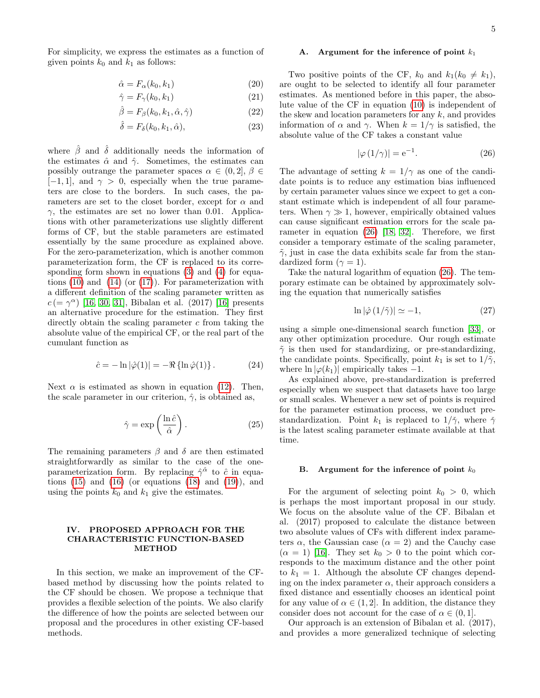For simplicity, we express the estimates as a function of given points  $k_0$  and  $k_1$  as follows:

$$
\hat{\alpha} = F_{\alpha}(k_0, k_1) \tag{20}
$$

$$
\hat{\gamma} = F_{\gamma}(k_0, k_1) \tag{21}
$$

$$
\hat{\beta} = F_{\beta}(k_0, k_1, \hat{\alpha}, \hat{\gamma}) \tag{22}
$$

$$
\hat{\delta} = F_{\delta}(k_0, k_1, \hat{\alpha}), \tag{23}
$$

where  $\hat{\beta}$  and  $\hat{\delta}$  additionally needs the information of the estimates  $\hat{\alpha}$  and  $\hat{\gamma}$ . Sometimes, the estimates can possibly outrange the parameter spaces  $\alpha \in (0, 2], \beta \in$  $[-1, 1]$ , and  $\gamma > 0$ , especially when the true parameters are close to the borders. In such cases, the parameters are set to the closet border, except for  $\alpha$  and  $\gamma$ , the estimates are set no lower than 0.01. Applications with other parameterizations use slightly different forms of CF, but the stable parameters are estimated essentially by the same procedure as explained above. For the zero-parameterization, which is another common parameterization form, the CF is replaced to its corre-sponding form shown in equations [\(3\)](#page-2-5) and [\(4\)](#page-2-6) for equations  $(10)$  and  $(14)$  (or  $(17)$ ). For parameterization with a different definition of the scaling parameter written as  $c (= \gamma^{\alpha})$  [\[16,](#page-12-3) [30,](#page-12-15) [31\]](#page-12-16), Bibalan et al. (2017) [\[16\]](#page-12-3) presents an alternative procedure for the estimation. They first directly obtain the scaling parameter  $c$  from taking the absolute value of the empirical CF, or the real part of the cumulant function as

$$
\hat{c} = -\ln|\hat{\varphi}(1)| = -\Re\{\ln\hat{\varphi}(1)\}.
$$
 (24)

Next  $\alpha$  is estimated as shown in equation [\(12\)](#page-3-3). Then, the scale parameter in our criterion,  $\hat{\gamma}$ , is obtained as,

$$
\hat{\gamma} = \exp\left(\frac{\ln \hat{c}}{\hat{\alpha}}\right). \tag{25}
$$

The remaining parameters  $\beta$  and  $\delta$  are then estimated straightforwardly as similar to the case of the oneparameterization form. By replacing  $\hat{\gamma}^{\hat{\alpha}}$  to  $\hat{c}$  in equations  $(15)$  and  $(16)$  (or equations  $(18)$  and  $(19)$ ), and using the points  $k_0$  and  $k_1$  give the estimates.

# IV. PROPOSED APPROACH FOR THE CHARACTERISTIC FUNCTION-BASED METHOD

In this section, we make an improvement of the CFbased method by discussing how the points related to the CF should be chosen. We propose a technique that provides a flexible selection of the points. We also clarify the difference of how the points are selected between our proposal and the procedures in other existing CF-based methods.

### A. Argument for the inference of point  $k_1$

<span id="page-4-4"></span><span id="page-4-3"></span><span id="page-4-2"></span><span id="page-4-1"></span>Two positive points of the CF,  $k_0$  and  $k_1(k_0 \neq k_1)$ , are ought to be selected to identify all four parameter estimates. As mentioned before in this paper, the absolute value of the CF in equation [\(10\)](#page-3-0) is independent of the skew and location parameters for any  $k$ , and provides information of  $\alpha$  and  $\gamma$ . When  $k = 1/\gamma$  is satisfied, the absolute value of the CF takes a constant value

<span id="page-4-0"></span>
$$
|\varphi(1/\gamma)| = e^{-1}.
$$
 (26)

The advantage of setting  $k = 1/\gamma$  as one of the candidate points is to reduce any estimation bias influenced by certain parameter values since we expect to get a constant estimate which is independent of all four parameters. When  $\gamma \gg 1$ , however, empirically obtained values can cause significant estimation errors for the scale parameter in equation [\(26\)](#page-4-0) [\[18,](#page-12-0) [32\]](#page-12-17). Therefore, we first consider a temporary estimate of the scaling parameter,  $\tilde{\gamma}$ , just in case the data exhibits scale far from the standardized form  $(\gamma = 1)$ .

Take the natural logarithm of equation [\(26\)](#page-4-0). The temporary estimate can be obtained by approximately solving the equation that numerically satisfies

$$
\ln|\hat{\varphi}(1/\tilde{\gamma})| \simeq -1,\tag{27}
$$

using a simple one-dimensional search function [\[33\]](#page-12-18), or any other optimization procedure. Our rough estimate  $\tilde{\gamma}$  is then used for standardizing, or pre-standardizing, the candidate points. Specifically, point  $k_1$  is set to  $1/\tilde{\gamma}$ , where  $\ln |\varphi(k_1)|$  empirically takes  $-1$ .

<span id="page-4-5"></span>As explained above, pre-standardization is preferred especially when we suspect that datasets have too large or small scales. Whenever a new set of points is required for the parameter estimation process, we conduct prestandardization. Point  $k_1$  is replaced to  $1/\gamma$ , where  $\gamma$ is the latest scaling parameter estimate available at that time.

#### B. Argument for the inference of point  $k_0$

For the argument of selecting point  $k_0 > 0$ , which is perhaps the most important proposal in our study. We focus on the absolute value of the CF. Bibalan et al. (2017) proposed to calculate the distance between two absolute values of CFs with different index parameters  $\alpha$ , the Gaussian case  $(\alpha = 2)$  and the Cauchy case  $(\alpha = 1)$  [\[16\]](#page-12-3). They set  $k_0 > 0$  to the point which corresponds to the maximum distance and the other point to  $k_1 = 1$ . Although the absolute CF changes depending on the index parameter  $\alpha$ , their approach considers a fixed distance and essentially chooses an identical point for any value of  $\alpha \in (1, 2]$ . In addition, the distance they consider does not account for the case of  $\alpha \in (0, 1]$ .

Our approach is an extension of Bibalan et al. (2017), and provides a more generalized technique of selecting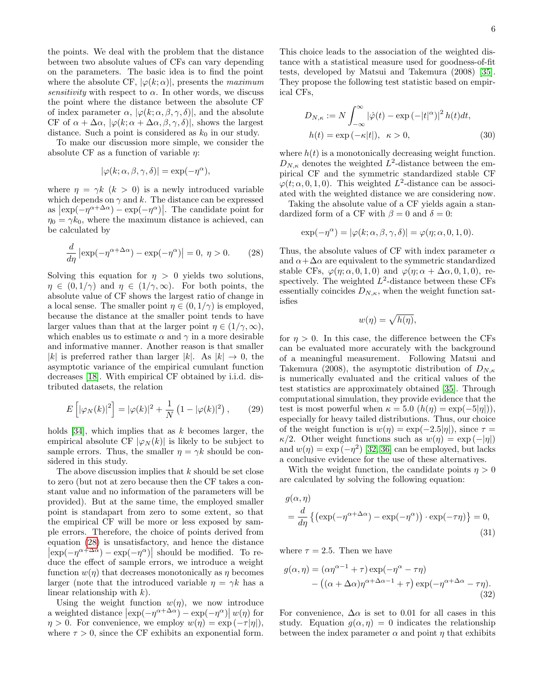the points. We deal with the problem that the distance between two absolute values of CFs can vary depending on the parameters. The basic idea is to find the point where the absolute CF,  $|\varphi(k;\alpha)|$ , presents the *maximum* sensitivity with respect to  $\alpha$ . In other words, we discuss the point where the distance between the absolute CF of index parameter  $\alpha$ ,  $|\varphi(k; \alpha, \beta, \gamma, \delta)|$ , and the absolute CF of  $\alpha + \Delta \alpha$ ,  $|\varphi(k; \alpha + \Delta \alpha, \beta, \gamma, \delta)|$ , shows the largest distance. Such a point is considered as  $k_0$  in our study.

To make our discussion more simple, we consider the absolute CF as a function of variable  $\eta$ :

$$
|\varphi(k; \alpha, \beta, \gamma, \delta)| = \exp(-\eta^{\alpha}),
$$

where  $\eta = \gamma k$  ( $k > 0$ ) is a newly introduced variable which depends on  $\gamma$  and k. The distance can be expressed as  $\left|\exp(-\eta^{\alpha+\Delta\alpha}) - \exp(-\eta^{\alpha})\right|$ . The candidate point for  $\eta_0 = \gamma k_0$ , where the maximum distance is achieved, can be calculated by

$$
\frac{d}{d\eta} \left| \exp(-\eta^{\alpha+\Delta\alpha}) - \exp(-\eta^{\alpha}) \right| = 0, \ \eta > 0. \tag{28}
$$

Solving this equation for  $\eta > 0$  yields two solutions,  $\eta \in (0, 1/\gamma)$  and  $\eta \in (1/\gamma, \infty)$ . For both points, the absolute value of CF shows the largest ratio of change in a local sense. The smaller point  $\eta \in (0, 1/\gamma)$  is employed, because the distance at the smaller point tends to have larger values than that at the larger point  $\eta \in (1/\gamma, \infty)$ , which enables us to estimate  $\alpha$  and  $\gamma$  in a more desirable and informative manner. Another reason is that smaller |k| is preferred rather than larger |k|. As  $|k| \rightarrow 0$ , the asymptotic variance of the empirical cumulant function decreases [\[18\]](#page-12-0). With empirical CF obtained by i.i.d. distributed datasets, the relation

$$
E\left[|\varphi_N(k)|^2\right] = |\varphi(k)|^2 + \frac{1}{N}\left(1 - |\varphi(k)|^2\right),\qquad(29)
$$

holds  $[34]$ , which implies that as k becomes larger, the empirical absolute CF  $|\varphi_N(k)|$  is likely to be subject to sample errors. Thus, the smaller  $\eta = \gamma k$  should be considered in this study.

The above discussion implies that k should be set close to zero (but not at zero because then the CF takes a constant value and no information of the parameters will be provided). But at the same time, the employed smaller point is standapart from zero to some extent, so that the empirical CF will be more or less exposed by sample errors. Therefore, the choice of points derived from equation [\(28\)](#page-5-0) is unsatisfactory, and hence the distance  $\left|\exp(-\eta^{\alpha+\Delta\alpha})-\exp(-\eta^{\alpha})\right|$  should be modified. To reduce the effect of sample errors, we introduce a weight function  $w(\eta)$  that decreases monotonically as  $\eta$  becomes larger (note that the introduced variable  $\eta = \gamma k$  has a linear relationship with  $k$ ).

Using the weight function  $w(\eta)$ , we now introduce a weighted distance  $\left|\exp(-\eta^{\alpha+\Delta\alpha})-\exp(-\eta^{\alpha})\right|w(\eta)$  for  $\eta > 0$ . For convenience, we employ  $w(\eta) = \exp(-\tau |\eta|)$ , where  $\tau > 0$ , since the CF exhibits an exponential form.

This choice leads to the association of the weighted distance with a statistical measure used for goodness-of-fit tests, developed by Matsui and Takemura (2008) [\[35\]](#page-12-20). They propose the following test statistic based on empirical CFs,

$$
D_{N,\kappa} := N \int_{-\infty}^{\infty} |\hat{\varphi}(t) - \exp(-|t|^{\alpha})|^2 h(t) dt,
$$
  

$$
h(t) = \exp(-\kappa|t|), \quad \kappa > 0,
$$
 (30)

where  $h(t)$  is a monotonically decreasing weight function.  $D_{N,\kappa}$  denotes the weighted  $L^2$ -distance between the empirical CF and the symmetric standardized stable CF  $\varphi(t; \alpha, 0, 1, 0)$ . This weighted  $L^2$ -distance can be associated with the weighted distance we are considering now.

Taking the absolute value of a CF yields again a standardized form of a CF with  $\beta = 0$  and  $\delta = 0$ :

$$
\exp(-\eta^{\alpha}) = |\varphi(k; \alpha, \beta, \gamma, \delta)| = \varphi(\eta; \alpha, 0, 1, 0).
$$

<span id="page-5-0"></span>Thus, the absolute values of CF with index parameter  $\alpha$ and  $\alpha + \Delta \alpha$  are equivalent to the symmetric standardized stable CFs,  $\varphi(\eta; \alpha, 0, 1, 0)$  and  $\varphi(\eta; \alpha + \Delta \alpha, 0, 1, 0)$ , respectively. The weighted  $L^2$ -distance between these CFs essentially coincides  $D_{N,\kappa}$ , when the weight function satisfies

$$
w(\eta) = \sqrt{h(\eta)},
$$

for  $\eta > 0$ . In this case, the difference between the CFs can be evaluated more accurately with the background of a meaningful measurement. Following Matsui and Takemura (2008), the asymptotic distribution of  $D_{N,\kappa}$ is numerically evaluated and the critical values of the test statistics are approximately obtained [\[35\]](#page-12-20). Through computational simulation, they provide evidence that the test is most powerful when  $\kappa = 5.0$   $(h(\eta) = \exp(-5|\eta|)),$ especially for heavy tailed distributions. Thus, our choice of the weight function is  $w(\eta) = \exp(-2.5|\eta|)$ , since  $\tau =$  $\kappa/2$ . Other weight functions such as  $w(\eta) = \exp(-|\eta|)$ and  $w(\eta) = \exp(-\eta^2)$  [\[32,](#page-12-17) [36\]](#page-12-21) can be employed, but lacks a conclusive evidence for the use of these alternatives.

With the weight function, the candidate points  $\eta > 0$ are calculated by solving the following equation:

<span id="page-5-1"></span>
$$
g(\alpha, \eta)
$$
  
=  $\frac{d}{d\eta} \left\{ \left( \exp(-\eta^{\alpha+\Delta\alpha}) - \exp(-\eta^{\alpha}) \right) \cdot \exp(-\tau \eta) \right\} = 0,$  (31)

where  $\tau = 2.5$ . Then we have

<span id="page-5-2"></span>
$$
g(\alpha, \eta) = (\alpha \eta^{\alpha - 1} + \tau) \exp(-\eta^{\alpha} - \tau \eta)
$$

$$
- ((\alpha + \Delta \alpha)\eta^{\alpha + \Delta \alpha - 1} + \tau) \exp(-\eta^{\alpha + \Delta \alpha} - \tau \eta).
$$
(32)

For convenience,  $\Delta \alpha$  is set to 0.01 for all cases in this study. Equation  $q(\alpha, \eta) = 0$  indicates the relationship between the index parameter  $\alpha$  and point  $\eta$  that exhibits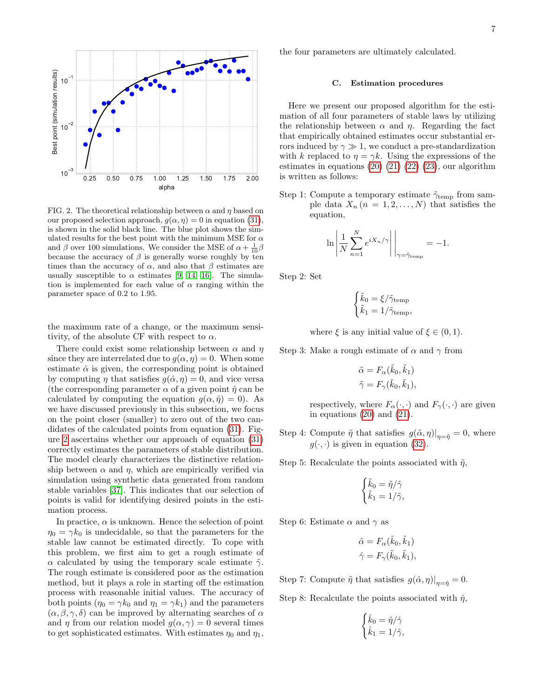

<span id="page-6-0"></span>FIG. 2. The theoretical relationship between  $\alpha$  and  $\eta$  based on our proposed selection approach,  $g(\alpha, \eta) = 0$  in equation [\(31\)](#page-5-1), is shown in the solid black line. The blue plot shows the simulated results for the best point with the minimum MSE for  $\alpha$ and  $\beta$  over 100 simulations. We consider the MSE of  $\alpha + \frac{1}{10}\beta$ because the accuracy of  $\beta$  is generally worse roughly by ten times than the accuracy of  $\alpha$ , and also that  $\beta$  estimates are usually susceptible to  $\alpha$  estimates [\[9,](#page-11-6) [14,](#page-11-11) [16\]](#page-12-3). The simulation is implemented for each value of  $\alpha$  ranging within the parameter space of 0.2 to 1.95.

the maximum rate of a change, or the maximum sensitivity, of the absolute CF with respect to  $\alpha$ .

There could exist some relationship between  $\alpha$  and  $\eta$ since they are interrelated due to  $g(\alpha, \eta) = 0$ . When some estimate  $\hat{\alpha}$  is given, the corresponding point is obtained by computing  $\eta$  that satisfies  $g(\hat{\alpha}, \eta) = 0$ , and vice versa (the corresponding parameter  $\alpha$  of a given point  $\hat{\eta}$  can be calculated by computing the equation  $q(\alpha, \hat{\eta}) = 0$ . As we have discussed previously in this subsection, we focus on the point closer (smaller) to zero out of the two candidates of the calculated points from equation [\(31\)](#page-5-1). Figure [2](#page-6-0) ascertains whether our approach of equation [\(31\)](#page-5-1) correctly estimates the parameters of stable distribution. The model clearly characterizes the distinctive relationship between  $\alpha$  and  $\eta$ , which are empirically verified via simulation using synthetic data generated from random stable variables [\[37\]](#page-12-22). This indicates that our selection of points is valid for identifying desired points in the estimation process.

In practice,  $\alpha$  is unknown. Hence the selection of point  $\eta_0 = \gamma k_0$  is undecidable, so that the parameters for the stable law cannot be estimated directly. To cope with this problem, we first aim to get a rough estimate of α calculated by using the temporary scale estimate  $\tilde{\gamma}$ . The rough estimate is considered poor as the estimation method, but it plays a role in starting off the estimation process with reasonable initial values. The accuracy of both points ( $\eta_0 = \gamma k_0$  and  $\eta_1 = \gamma k_1$ ) and the parameters  $(\alpha, \beta, \gamma, \delta)$  can be improved by alternating searches of  $\alpha$ and  $\eta$  from our relation model  $g(\alpha, \gamma) = 0$  several times to get sophisticated estimates. With estimates  $\eta_0$  and  $\eta_1$ ,

the four parameters are ultimately calculated.

#### C. Estimation procedures

Here we present our proposed algorithm for the estimation of all four parameters of stable laws by utilizing the relationship between  $\alpha$  and  $\eta$ . Regarding the fact that empirically obtained estimates occur substantial errors induced by  $\gamma \gg 1$ , we conduct a pre-standardization with k replaced to  $\eta = \gamma k$ . Using the expressions of the estimates in equations [\(20\)](#page-4-1) [\(21\)](#page-4-2) [\(22\)](#page-4-3) [\(23\)](#page-4-4), our algorithm is written as follows:

Step 1: Compute a temporary estimate  $\tilde{\gamma}_{\text{temp}}$  from sample data  $X_n$   $(n = 1, 2, \ldots, N)$  that satisfies the equation,

$$
\ln \left| \frac{1}{N} \sum_{n=1}^{N} e^{iX_n/\gamma} \right| \Big|_{\gamma = \tilde{\gamma}_{\text{temp}}} = -1.
$$

Step 2: Set

$$
\begin{cases} \tilde{k}_0 = \xi / \tilde{\gamma}_{\text{temp}} \\ \tilde{k}_1 = 1 / \tilde{\gamma}_{\text{temp}}, \end{cases}
$$

where  $\xi$  is any initial value of  $\xi \in (0,1)$ .

Step 3: Make a rough estimate of  $\alpha$  and  $\gamma$  from

$$
\tilde{\alpha} = F_{\alpha}(\tilde{k}_0, \tilde{k}_1)
$$
  

$$
\tilde{\gamma} = F_{\gamma}(\tilde{k}_0, \tilde{k}_1),
$$

respectively, where  $F_{\alpha}(\cdot, \cdot)$  and  $F_{\gamma}(\cdot, \cdot)$  are given in equations  $(20)$  and  $(21)$ .

Step 4: Compute  $\tilde{\eta}$  that satisfies  $g(\tilde{\alpha}, \eta)|_{\eta=\tilde{\eta}} = 0$ , where  $q(\cdot, \cdot)$  is given in equation [\(32\)](#page-5-2).

Step 5: Recalculate the points associated with  $\tilde{\eta}$ ,

$$
\begin{cases} \tilde{k}_0 = \tilde{\eta}/\tilde{\gamma} \\ \tilde{k}_1 = 1/\tilde{\gamma}, \end{cases}
$$

Step 6: Estimate  $\alpha$  and  $\gamma$  as

$$
\hat{\alpha} = F_{\alpha}(\tilde{k}_0, \tilde{k}_1)
$$
  

$$
\hat{\gamma} = F_{\gamma}(\tilde{k}_0, \tilde{k}_1),
$$

Step 7: Compute  $\tilde{\eta}$  that satisfies  $g(\hat{\alpha}, \eta)|_{n=\hat{\eta}} = 0$ .

Step 8: Recalculate the points associated with  $\hat{\eta}$ ,

$$
\begin{cases}\n\hat{k}_0 = \hat{\eta}/\hat{\gamma} \\
\hat{k}_1 = 1/\hat{\gamma},\n\end{cases}
$$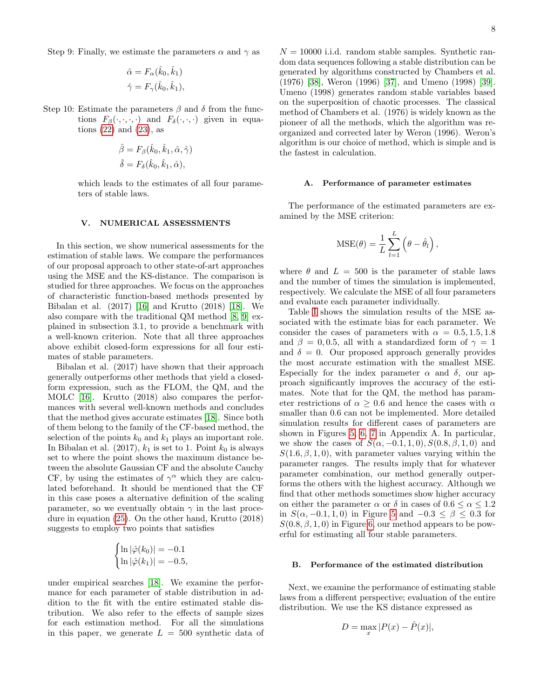Step 9: Finally, we estimate the parameters  $\alpha$  and  $\gamma$  as

$$
\hat{\alpha} = F_{\alpha}(\hat{k}_0, \hat{k}_1)
$$
  

$$
\hat{\gamma} = F_{\gamma}(\hat{k}_0, \hat{k}_1),
$$

Step 10: Estimate the parameters  $\beta$  and  $\delta$  from the functions  $F_{\beta}(\cdot,\cdot,\cdot,\cdot)$  and  $F_{\delta}(\cdot,\cdot,\cdot)$  given in equations  $(22)$  and  $(23)$ , as

$$
\hat{\beta} = F_{\beta}(\hat{k}_0, \hat{k}_1, \hat{\alpha}, \hat{\gamma})
$$

$$
\hat{\delta} = F_{\delta}(\hat{k}_0, \hat{k}_1, \hat{\alpha}),
$$

which leads to the estimates of all four parameters of stable laws.

# V. NUMERICAL ASSESSMENTS

In this section, we show numerical assessments for the estimation of stable laws. We compare the performances of our proposal approach to other state-of-art approaches using the MSE and the KS-distance. The comparison is studied for three approaches. We focus on the approaches of characteristic function-based methods presented by Bibalan et al. (2017) [\[16\]](#page-12-3) and Krutto (2018) [\[18\]](#page-12-0). We also compare with the traditional QM method [\[8,](#page-11-5) [9\]](#page-11-6) explained in subsection 3.1, to provide a benchmark with a well-known criterion. Note that all three approaches above exhibit closed-form expressions for all four estimates of stable parameters.

Bibalan et al. (2017) have shown that their approach generally outperforms other methods that yield a closedform expression, such as the FLOM, the QM, and the MOLC [\[16\]](#page-12-3). Krutto (2018) also compares the performances with several well-known methods and concludes that the method gives accurate estimates [\[18\]](#page-12-0). Since both of them belong to the family of the CF-based method, the selection of the points  $k_0$  and  $k_1$  plays an important role. In Bibalan et al. (2017),  $k_1$  is set to 1. Point  $k_0$  is always set to where the point shows the maximum distance between the absolute Gaussian CF and the absolute Cauchy CF, by using the estimates of  $\gamma^{\alpha}$  which they are calculated beforehand. It should be mentioned that the CF in this case poses a alternative definition of the scaling parameter, so we eventually obtain  $\gamma$  in the last procedure in equation [\(25\)](#page-4-5). On the other hand, Krutto (2018) suggests to employ two points that satisfies

$$
\begin{cases} \ln|\hat{\varphi}(k_0)| = -0.1\\ \ln|\hat{\varphi}(k_1)| = -0.5, \end{cases}
$$

under empirical searches [\[18\]](#page-12-0). We examine the performance for each parameter of stable distribution in addition to the fit with the entire estimated stable distribution. We also refer to the effects of sample sizes for each estimation method. For all the simulations in this paper, we generate  $L = 500$  synthetic data of

 $N = 10000$  i.i.d. random stable samples. Synthetic random data sequences following a stable distribution can be generated by algorithms constructed by Chambers et al. (1976) [\[38\]](#page-12-23), Weron (1996) [\[37\]](#page-12-22), and Umeno (1998) [\[39\]](#page-12-24). Umeno (1998) generates random stable variables based on the superposition of chaotic processes. The classical method of Chambers et al. (1976) is widely known as the pioneer of all the methods, which the algorithm was reorganized and corrected later by Weron (1996). Weron's algorithm is our choice of method, which is simple and is the fastest in calculation.

#### A. Performance of parameter estimates

The performance of the estimated parameters are examined by the MSE criterion:

$$
MSE(\theta) = \frac{1}{L} \sum_{l=1}^{L} (\theta - \hat{\theta}_l),
$$

where  $\theta$  and  $L = 500$  is the parameter of stable laws and the number of times the simulation is implemented, respectively. We calculate the MSE of all four parameters and evaluate each parameter individually.

Table [I](#page-8-0) shows the simulation results of the MSE associated with the estimate bias for each parameter. We consider the cases of parameters with  $\alpha = 0.5, 1.5, 1.8$ and  $\beta = 0, 0.5$ , all with a standardized form of  $\gamma = 1$ and  $\delta = 0$ . Our proposed approach generally provides the most accurate estimation with the smallest MSE. Especially for the index parameter  $\alpha$  and  $\delta$ , our approach significantly improves the accuracy of the estimates. Note that for the QM, the method has parameter restrictions of  $\alpha \geq 0.6$  and hence the cases with  $\alpha$ smaller than 0.6 can not be implemented. More detailed simulation results for different cases of parameters are shown in Figures [5,](#page-13-0) [6,](#page-13-1) [7](#page-14-0) in Appendix A. In particular, we show the cases of  $S(\alpha, -0.1, 1, 0), S(0.8, \beta, 1, 0)$  and  $S(1.6, \beta, 1, 0)$ , with parameter values varying within the parameter ranges. The results imply that for whatever parameter combination, our method generally outperforms the others with the highest accuracy. Although we find that other methods sometimes show higher accuracy on either the parameter  $\alpha$  or  $\delta$  in cases of  $0.6 \leq \alpha \leq 1.2$ in  $S(\alpha, -0.1, 1, 0)$  in Figure [5](#page-13-0) and  $-0.3 \leq \beta \leq 0.3$  for  $S(0.8, \beta, 1, 0)$  in Figure [6,](#page-13-1) our method appears to be powerful for estimating all four stable parameters.

#### B. Performance of the estimated distribution

Next, we examine the performance of estimating stable laws from a different perspective; evaluation of the entire distribution. We use the KS distance expressed as

$$
D = \max_{x} |P(x) - \hat{P}(x)|,
$$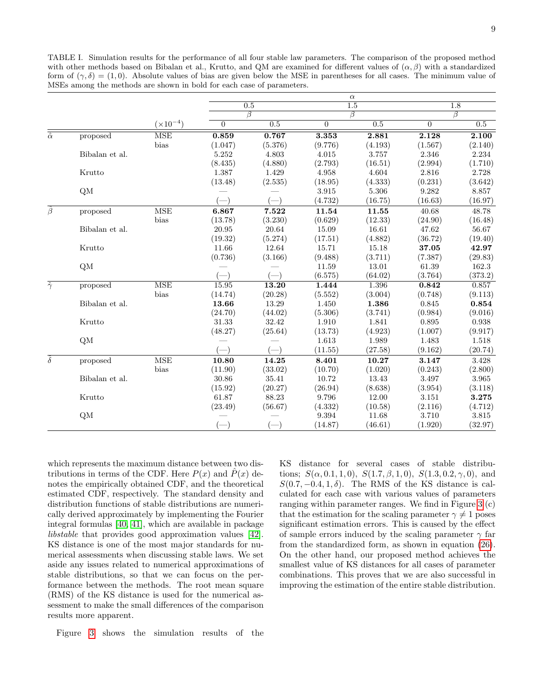<span id="page-8-0"></span>TABLE I. Simulation results for the performance of all four stable law parameters. The comparison of the proposed method with other methods based on Bibalan et al., Krutto, and QM are examined for different values of  $(\alpha, \beta)$  with a standardized form of  $(\gamma, \delta) = (1, 0)$ . Absolute values of bias are given below the MSE in parentheses for all cases. The minimum value of MSEs among the methods are shown in bold for each case of parameters.

|                           |                |                    | $\alpha$  |          |                |                    |                    |                  |  |
|---------------------------|----------------|--------------------|-----------|----------|----------------|--------------------|--------------------|------------------|--|
|                           |                |                    |           | 0.5<br>B |                | $\overline{1.5}$   |                    | $\overline{1.8}$ |  |
|                           |                |                    |           |          |                | $\overline{\beta}$ | $\overline{\beta}$ |                  |  |
|                           |                | $(\times 10^{-4})$ | $\Omega$  | 0.5      | $\overline{0}$ | 0.5                | $\overline{0}$     | 0.5              |  |
| $\overline{\hat{\alpha}}$ | proposed       | <b>MSE</b>         | 0.859     | 0.767    | 3.353          | 2.881              | 2.128              | 2.100            |  |
|                           |                | bias               | (1.047)   | (5.376)  | (9.776)        | (4.193)            | (1.567)            | (2.140)          |  |
|                           | Bibalan et al. |                    | $5.252\,$ | 4.803    | $4.015\,$      | 3.757              | 2.346              | 2.234            |  |
|                           |                |                    | (8.435)   | (4.880)  | (2.793)        | (16.51)            | (2.994)            | (1.710)          |  |
|                           | Krutto         |                    | 1.387     | 1.429    | 4.958          | 4.604              | 2.816              | 2.728            |  |
|                           |                |                    | (13.48)   | (2.535)  | (18.95)        | (4.333)            | (0.231)            | (3.642)          |  |
|                           | QM             |                    |           |          | $3.915\,$      | 5.306              | 9.282              | 8.857            |  |
|                           |                |                    |           |          | (4.732)        | (16.75)            | (16.63)            | (16.97)          |  |
| $\overline{\hat{\beta}}$  | proposed       | MSE                | 6.867     | 7.522    | 11.54          | $\bf 11.55$        | 40.68              | 48.78            |  |
|                           |                | bias               | (13.78)   | (3.230)  | (0.629)        | (12.33)            | (24.90)            | (16.48)          |  |
|                           | Bibalan et al. |                    | 20.95     | 20.64    | $15.09\,$      | 16.61              | 47.62              | 56.67            |  |
|                           |                |                    | (19.32)   | (5.274)  | (17.51)        | (4.882)            | (36.72)            | (19.40)          |  |
|                           | Krutto         |                    | 11.66     | 12.64    | 15.71          | $15.18\,$          | 37.05              | 42.97            |  |
|                           |                |                    | (0.736)   | (3.166)  | (9.488)        | (3.711)            | (7.387)            | (29.83)          |  |
|                           | QM             |                    |           |          | 11.59          | 13.01              | 61.39              | 162.3            |  |
|                           |                |                    |           |          | (6.575)        | (64.02)            | (3.764)            | (373.2)          |  |
| $\overline{\hat{\gamma}}$ | proposed       | <b>MSE</b>         | 15.95     | 13.20    | 1.444          | 1.396              | 0.842              | 0.857            |  |
|                           |                | bias               | (14.74)   | (20.28)  | (5.552)        | (3.004)            | (0.748)            | (9.113)          |  |
|                           | Bibalan et al. |                    | 13.66     | 13.29    | 1.450          | 1.386              | 0.845              | 0.854            |  |
|                           |                |                    | (24.70)   | (44.02)  | (5.306)        | (3.741)            | (0.984)            | (9.016)          |  |
|                           | Krutto         |                    | 31.33     | 32.42    | 1.910          | 1.841              | 0.895              | 0.938            |  |
|                           |                |                    | (48.27)   | (25.64)  | (13.73)        | (4.923)            | (1.007)            | (9.917)          |  |
|                           | QM             |                    |           |          | $1.613\,$      | 1.989              | 1.483              | $1.518\,$        |  |
|                           |                |                    |           |          | (11.55)        | (27.58)            | (9.162)            | (20.74)          |  |
| $\overline{\hat{\delta}}$ | proposed       | <b>MSE</b>         | 10.80     | 14.25    | 8.401          | 10.27              | 3.147              | 3.428            |  |
|                           |                | bias               | (11.90)   | (33.02)  | (10.70)        | (1.020)            | (0.243)            | (2.800)          |  |
|                           | Bibalan et al. |                    | $30.86\,$ | 35.41    | 10.72          | 13.43              | 3.497              | 3.965            |  |
|                           |                |                    | (15.92)   | (20.27)  | (26.94)        | (8.638)            | (3.954)            | (3.118)          |  |
|                           | Krutto         |                    | 61.87     | 88.23    | 9.796          | 12.00              | $3.151\,$          | 3.275            |  |
|                           |                |                    | (23.49)   | (56.67)  | (4.332)        | (10.58)            | (2.116)            | (4.712)          |  |
|                           | QM             |                    |           |          | 9.394          | 11.68              | 3.710              | 3.815            |  |
|                           |                |                    |           |          | (14.87)        | (46.61)            | (1.920)            | (32.97)          |  |

which represents the maximum distance between two distributions in terms of the CDF. Here  $P(x)$  and  $\hat{P}(x)$  denotes the empirically obtained CDF, and the theoretical estimated CDF, respectively. The standard density and distribution functions of stable distributions are numerically derived approximately by implementing the Fourier integral formulas [\[40,](#page-12-25) [41\]](#page-12-26), which are available in package libstable that provides good approximation values [\[42\]](#page-12-27). KS distance is one of the most major standards for numerical assessments when discussing stable laws. We set aside any issues related to numerical approximations of stable distributions, so that we can focus on the performance between the methods. The root mean square (RMS) of the KS distance is used for the numerical assessment to make the small differences of the comparison results more apparent.

Figure [3](#page-9-0) shows the simulation results of the

KS distance for several cases of stable distributions;  $S(\alpha, 0.1, 1, 0), S(1.7, \beta, 1, 0), S(1.3, 0.2, \gamma, 0),$  and  $S(0.7, -0.4, 1, \delta)$ . The RMS of the KS distance is calculated for each case with various values of parameters ranging within parameter ranges. We find in Figure [3](#page-9-0) (c) that the estimation for the scaling parameter  $\gamma \neq 1$  poses significant estimation errors. This is caused by the effect of sample errors induced by the scaling parameter  $\gamma$  far from the standardized form, as shown in equation [\(26\)](#page-4-0). On the other hand, our proposed method achieves the smallest value of KS distances for all cases of parameter combinations. This proves that we are also successful in improving the estimation of the entire stable distribution.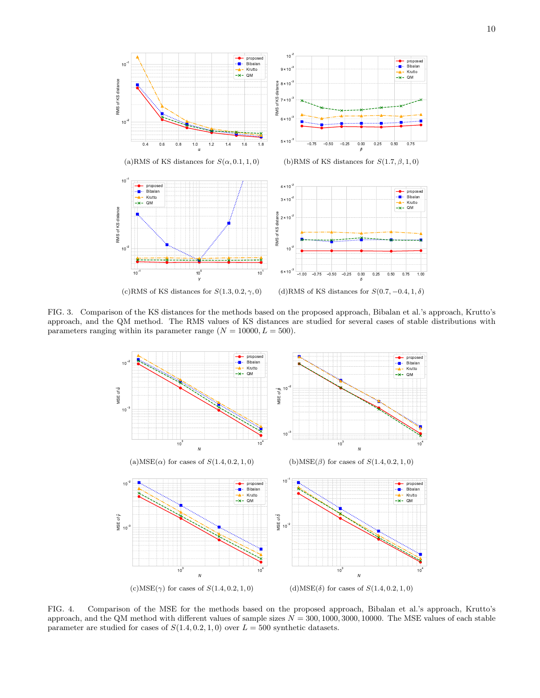

(a)RMS of KS distances for  $S(\alpha, 0.1, 1, 0)$ 

(b)RMS of KS distances for  $S(1.7, \beta, 1, 0)$ 



(c)RMS of KS distances for  $S(1.3, 0.2, \gamma, 0)$ 

(d)RMS of KS distances for  $S(0.7, -0.4, 1, \delta)$ 

<span id="page-9-0"></span>FIG. 3. Comparison of the KS distances for the methods based on the proposed approach, Bibalan et al.'s approach, Krutto's approach, and the QM method. The RMS values of KS distances are studied for several cases of stable distributions with parameters ranging within its parameter range  $(N = 10000, L = 500)$ .



<span id="page-9-1"></span>FIG. 4. Comparison of the MSE for the methods based on the proposed approach, Bibalan et al.'s approach, Krutto's approach, and the QM method with different values of sample sizes  $N = 300, 1000, 3000, 10000$ . The MSE values of each stable parameter are studied for cases of  $S(1.4, 0.2, 1, 0)$  over  $L = 500$  synthetic datasets.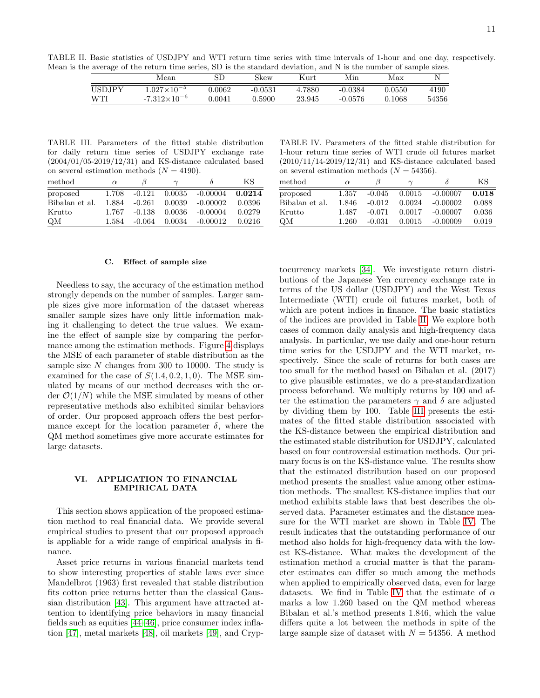TABLE II. Basic statistics of USDJPY and WTI return time series with time intervals of 1-hour and one day, respectively. Mean is the average of the return time series, SD is the standard deviation, and N is the number of sample sizes.

<span id="page-10-0"></span>

|               | Mean                  | SЕ     | skew      | Kurt   | Min       | Max    |       |
|---------------|-----------------------|--------|-----------|--------|-----------|--------|-------|
| <b>USDJPY</b> | $.027\times10^{-5}$   | 0.0062 | $-0.0531$ | .7880  | $-0.0384$ | 0.0550 | 4190  |
| WTI           | $-7.312\times10^{-6}$ | ).0041 | 0.5900    | 23.945 | $-0.0576$ | 0.1068 | 54356 |

<span id="page-10-1"></span>TABLE III. Parameters of the fitted stable distribution for daily return time series of USDJPY exchange rate (2004/01/05-2019/12/31) and KS-distance calculated based on several estimation methods  $(N = 4190)$ .

| method         | $\alpha$ |          | $\sim$ |            | ΚS     |
|----------------|----------|----------|--------|------------|--------|
| proposed       | 1.708    | $-0.121$ | 0.0035 | $-0.00004$ | 0.0214 |
| Bibalan et al. | 1.884    | $-0.261$ | 0.0039 | $-0.00002$ | 0.0396 |
| Krutto         | 1.767    | $-0.138$ | 0.0036 | $-0.00004$ | 0.0279 |
| QМ             | 1.584    | $-0.064$ | 0.0034 | $-0.00012$ | 0.0216 |

#### C. Effect of sample size

Needless to say, the accuracy of the estimation method strongly depends on the number of samples. Larger sample sizes give more information of the dataset whereas smaller sample sizes have only little information making it challenging to detect the true values. We examine the effect of sample size by comparing the performance among the estimation methods. Figure [4](#page-9-1) displays the MSE of each parameter of stable distribution as the sample size  $N$  changes from 300 to 10000. The study is examined for the case of  $S(1.4, 0.2, 1, 0)$ . The MSE simulated by means of our method decreases with the order  $\mathcal{O}(1/N)$  while the MSE simulated by means of other representative methods also exhibited similar behaviors of order. Our proposed approach offers the best performance except for the location parameter  $\delta$ , where the QM method sometimes give more accurate estimates for large datasets.

# VI. APPLICATION TO FINANCIAL EMPIRICAL DATA

This section shows application of the proposed estimation method to real financial data. We provide several empirical studies to present that our proposed approach is appliable for a wide range of empirical analysis in finance.

Asset price returns in various financial markets tend to show interesting properties of stable laws ever since Mandelbrot (1963) first revealed that stable distribution fits cotton price returns better than the classical Gaussian distribution [\[43\]](#page-12-28). This argument have attracted attention to identifying price behaviors in many financial fields such as equities [\[44](#page-12-29)[–46\]](#page-12-30), price consumer index inflation [\[47\]](#page-12-31), metal markets [\[48\]](#page-12-32), oil markets [\[49\]](#page-12-33), and Cryp-

<span id="page-10-2"></span>TABLE IV. Parameters of the fitted stable distribution for 1-hour return time series of WTI crude oil futures market  $(2010/11/14-2019/12/31)$  and KS-distance calculated based on several estimation methods  $(N = 54356)$ .

| method         | $\alpha$ |          |        |            | ΚS    |
|----------------|----------|----------|--------|------------|-------|
| proposed       | 1.357    | $-0.045$ | 0.0015 | $-0.00007$ | 0.018 |
| Bibalan et al. | 1.846    | $-0.012$ | 0.0024 | $-0.00002$ | 0.088 |
| Krutto         | 1.487    | $-0.071$ | 0.0017 | $-0.00007$ | 0.036 |
| QМ             | 1.260    | $-0.031$ | 0.0015 | $-0.00009$ | 0.019 |

tocurrency markets [\[34\]](#page-12-19). We investigate return distributions of the Japanese Yen currency exchange rate in terms of the US dollar (USDJPY) and the West Texas Intermediate (WTI) crude oil futures market, both of which are potent indices in finance. The basic statistics of the indices are provided in Table [II.](#page-10-0) We explore both cases of common daily analysis and high-frequency data analysis. In particular, we use daily and one-hour return time series for the USDJPY and the WTI market, respectively. Since the scale of returns for both cases are too small for the method based on Bibalan et al. (2017) to give plausible estimates, we do a pre-standardization process beforehand. We multiply returns by 100 and after the estimation the parameters  $\gamma$  and  $\delta$  are adjusted by dividing them by 100. Table [III](#page-10-1) presents the estimates of the fitted stable distribution associated with the KS-distance between the empirical distribution and the estimated stable distribution for USDJPY, calculated based on four controversial estimation methods. Our primary focus is on the KS-distance value. The results show that the estimated distribution based on our proposed method presents the smallest value among other estimation methods. The smallest KS-distance implies that our method exhibits stable laws that best describes the observed data. Parameter estimates and the distance measure for the WTI market are shown in Table [IV.](#page-10-2) The result indicates that the outstanding performance of our method also holds for high-frequency data with the lowest KS-distance. What makes the development of the estimation method a crucial matter is that the parameter estimates can differ so much among the methods when applied to empirically observed data, even for large datasets. We find in Table [IV](#page-10-2) that the estimate of  $\alpha$ marks a low 1.260 based on the QM method whereas Bibalan et al.'s method presents 1.846, which the value differs quite a lot between the methods in spite of the large sample size of dataset with  $N = 54356$ . A method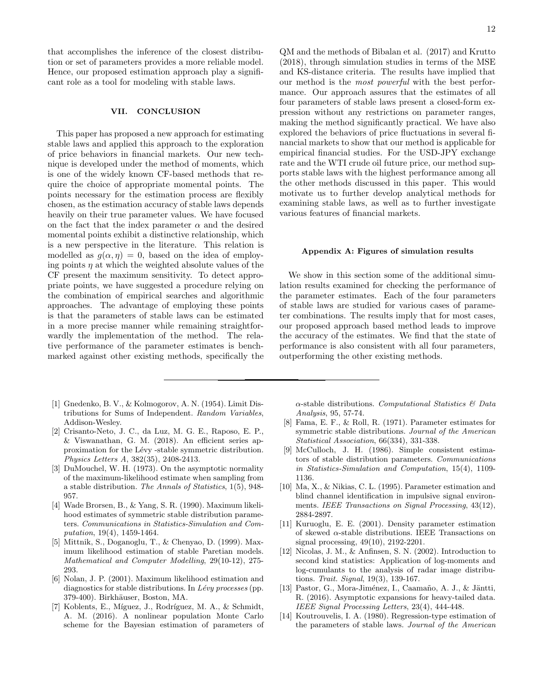that accomplishes the inference of the closest distribution or set of parameters provides a more reliable model. Hence, our proposed estimation approach play a significant role as a tool for modeling with stable laws.

# VII. CONCLUSION

This paper has proposed a new approach for estimating stable laws and applied this approach to the exploration of price behaviors in financial markets. Our new technique is developed under the method of moments, which is one of the widely known CF-based methods that require the choice of appropriate momental points. The points necessary for the estimation process are flexibly chosen, as the estimation accuracy of stable laws depends heavily on their true parameter values. We have focused on the fact that the index parameter  $\alpha$  and the desired momental points exhibit a distinctive relationship, which is a new perspective in the literature. This relation is modelled as  $q(\alpha, \eta) = 0$ , based on the idea of employing points  $\eta$  at which the weighted absolute values of the CF present the maximum sensitivity. To detect appropriate points, we have suggested a procedure relying on the combination of empirical searches and algorithmic approaches. The advantage of employing these points is that the parameters of stable laws can be estimated in a more precise manner while remaining straightforwardly the implementation of the method. The relative performance of the parameter estimates is benchmarked against other existing methods, specifically the

- <span id="page-11-0"></span>[1] Gnedenko, B. V., & Kolmogorov, A. N. (1954). Limit Distributions for Sums of Independent. Random Variables, Addison-Wesley.
- <span id="page-11-1"></span>[2] Crisanto-Neto, J. C., da Luz, M. G. E., Raposo, E. P., & Viswanathan, G. M. (2018). An efficient series approximation for the Lévy -stable symmetric distribution. Physics Letters A, 382(35), 2408-2413.
- <span id="page-11-2"></span>[3] DuMouchel, W. H. (1973). On the asymptotic normality of the maximum-likelihood estimate when sampling from a stable distribution. The Annals of Statistics, 1(5), 948- 957.
- [4] Wade Brorsen, B., & Yang, S. R. (1990). Maximum likelihood estimates of symmetric stable distribution parameters. Communications in Statistics-Simulation and Computation, 19(4), 1459-1464.
- [5] Mittnik, S., Doganoglu, T., & Chenyao, D. (1999). Maximum likelihood estimation of stable Paretian models. Mathematical and Computer Modelling, 29(10-12), 275- 293.
- <span id="page-11-3"></span>[6] Nolan, J. P. (2001). Maximum likelihood estimation and diagnostics for stable distributions. In *Lévy processes* (pp. 379-400). Birkhäuser, Boston, MA.
- <span id="page-11-4"></span>[7] Koblents, E., Míguez, J., Rodríguez, M. A., & Schmidt, A. M. (2016). A nonlinear population Monte Carlo scheme for the Bayesian estimation of parameters of

QM and the methods of Bibalan et al. (2017) and Krutto (2018), through simulation studies in terms of the MSE and KS-distance criteria. The results have implied that our method is the most powerful with the best performance. Our approach assures that the estimates of all four parameters of stable laws present a closed-form expression without any restrictions on parameter ranges, making the method significantly practical. We have also explored the behaviors of price fluctuations in several financial markets to show that our method is applicable for empirical financial studies. For the USD-JPY exchange rate and the WTI crude oil future price, our method supports stable laws with the highest performance among all the other methods discussed in this paper. This would motivate us to further develop analytical methods for examining stable laws, as well as to further investigate various features of financial markets.

# Appendix A: Figures of simulation results

We show in this section some of the additional simulation results examined for checking the performance of the parameter estimates. Each of the four parameters of stable laws are studied for various cases of parameter combinations. The results imply that for most cases, our proposed approach based method leads to improve the accuracy of the estimates. We find that the state of performance is also consistent with all four parameters, outperforming the other existing methods.

 $\alpha$ -stable distributions. Computational Statistics & Data Analysis, 95, 57-74.

- <span id="page-11-5"></span>[8] Fama, E. F., & Roll, R. (1971). Parameter estimates for symmetric stable distributions. Journal of the American Statistical Association, 66(334), 331-338.
- <span id="page-11-6"></span>[9] McCulloch, J. H. (1986). Simple consistent estimators of stable distribution parameters. Communications in Statistics-Simulation and Computation, 15(4), 1109- 1136.
- <span id="page-11-7"></span>[10] Ma, X., & Nikias, C. L. (1995). Parameter estimation and blind channel identification in impulsive signal environments. IEEE Transactions on Signal Processing, 43(12), 2884-2897.
- <span id="page-11-8"></span>[11] Kuruoglu, E. E. (2001). Density parameter estimation of skewed  $\alpha$ -stable distributions. IEEE Transactions on signal processing, 49(10), 2192-2201.
- <span id="page-11-9"></span>[12] Nicolas, J. M., & Anfinsen, S. N. (2002). Introduction to second kind statistics: Application of log-moments and log-cumulants to the analysis of radar image distributions. Trait. Signal, 19(3), 139-167.
- <span id="page-11-10"></span>[13] Pastor, G., Mora-Jiménez, I., Caamaño, A. J., & Jäntti, R. (2016). Asymptotic expansions for heavy-tailed data. IEEE Signal Processing Letters, 23(4), 444-448.
- <span id="page-11-11"></span>[14] Koutrouvelis, I. A. (1980). Regression-type estimation of the parameters of stable laws. Journal of the American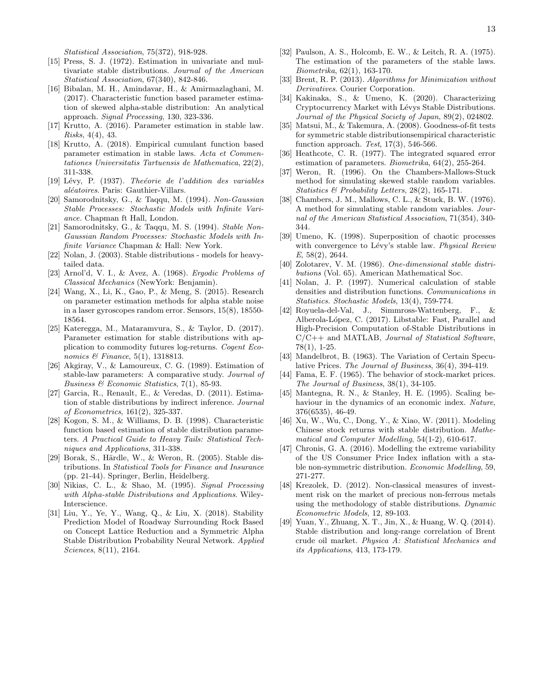Statistical Association, 75(372), 918-928.

- <span id="page-12-1"></span>[15] Press, S. J. (1972). Estimation in univariate and multivariate stable distributions. Journal of the American Statistical Association, 67(340), 842-846.
- <span id="page-12-3"></span>[16] Bibalan, M. H., Amindavar, H., & Amirmazlaghani, M. (2017). Characteristic function based parameter estimation of skewed alpha-stable distribution: An analytical approach. Signal Processing, 130, 323-336.
- <span id="page-12-2"></span>[17] Krutto, A. (2016). Parameter estimation in stable law. Risks, 4(4), 43.
- <span id="page-12-0"></span>[18] Krutto, A. (2018). Empirical cumulant function based parameter estimation in stable laws. Acta et Commentationes Universitatis Tartuensis de Mathematica, 22(2), 311-338.
- <span id="page-12-4"></span> $[19]$  Lévy, P.  $(1937)$ . Theéorie de l'addition des variables aléatoires. Paris: Gauthier-Villars.
- <span id="page-12-5"></span>[20] Samorodnitsky, G., & Taqqu, M. (1994). Non-Gaussian Stable Processes: Stochastic Models with Infinite Variance. Chapman ft Hall, London.
- <span id="page-12-6"></span>[21] Samorodnitsky, G., & Taqqu, M. S. (1994). Stable Non-Gaussian Random Processes: Stochastic Models with Infinite Variance Chapman & Hall: New York.
- <span id="page-12-7"></span>[22] Nolan, J. (2003). Stable distributions - models for heavytailed data.
- <span id="page-12-8"></span>[23] Arnol'd, V. I., & Avez, A. (1968). Ergodic Problems of Classical Mechanics (NewYork: Benjamin).
- <span id="page-12-9"></span>[24] Wang, X., Li, K., Gao, P., & Meng, S. (2015). Research on parameter estimation methods for alpha stable noise in a laser gyroscopes random error. Sensors, 15(8), 18550- 18564.
- <span id="page-12-10"></span>[25] Kateregga, M., Mataramvura, S., & Taylor, D. (2017). Parameter estimation for stable distributions with application to commodity futures log-returns. Cogent Economics & Finance, 5(1), 1318813.
- <span id="page-12-11"></span>[26] Akgiray, V., & Lamoureux, C. G. (1989). Estimation of stable-law parameters: A comparative study. Journal of Business & Economic Statistics, 7(1), 85-93.
- <span id="page-12-12"></span>[27] Garcia, R., Renault, E., & Veredas, D. (2011). Estimation of stable distributions by indirect inference. Journal of Econometrics, 161(2), 325-337.
- <span id="page-12-13"></span>[28] Kogon, S. M., & Williams, D. B. (1998). Characteristic function based estimation of stable distribution parameters. A Practical Guide to Heavy Tails: Statistical Techniques and Applications, 311-338.
- <span id="page-12-14"></span>[29] Borak, S., Härdle, W.,  $\&$  Weron, R. (2005). Stable distributions. In Statistical Tools for Finance and Insurance (pp. 21-44). Springer, Berlin, Heidelberg.
- <span id="page-12-15"></span>[30] Nikias, C. L., & Shao, M. (1995). Signal Processing with Alpha-stable Distributions and Applications. Wiley-Interscience.
- <span id="page-12-16"></span>[31] Liu, Y., Ye, Y., Wang, Q., & Liu, X. (2018). Stability Prediction Model of Roadway Surrounding Rock Based on Concept Lattice Reduction and a Symmetric Alpha Stable Distribution Probability Neural Network. Applied Sciences, 8(11), 2164.
- <span id="page-12-17"></span>[32] Paulson, A. S., Holcomb, E. W., & Leitch, R. A. (1975). The estimation of the parameters of the stable laws. Biometrika, 62(1), 163-170.
- <span id="page-12-18"></span>[33] Brent, R. P. (2013). Algorithms for Minimization without Derivatives. Courier Corporation.
- <span id="page-12-19"></span>[34] Kakinaka, S., & Umeno, K. (2020). Characterizing Cryptocurrency Market with Lévys Stable Distributions. Journal of the Physical Society of Japan, 89(2), 024802.
- <span id="page-12-20"></span>[35] Matsui, M., & Takemura, A. (2008). Goodness-of-fit tests for symmetric stable distributionsempirical characteristic function approach. Test,  $17(3)$ , 546-566.
- <span id="page-12-21"></span>[36] Heathcote, C. R. (1977). The integrated squared error estimation of parameters. Biometrika, 64(2), 255-264.
- <span id="page-12-22"></span>[37] Weron, R. (1996). On the Chambers-Mallows-Stuck method for simulating skewed stable random variables. Statistics & Probability Letters, 28(2), 165-171.
- <span id="page-12-23"></span>[38] Chambers, J. M., Mallows, C. L., & Stuck, B. W. (1976). A method for simulating stable random variables. Journal of the American Statistical Association, 71(354), 340- 344.
- <span id="page-12-24"></span>[39] Umeno, K. (1998). Superposition of chaotic processes with convergence to Lévy's stable law. Physical Review E, 58(2), 2644.
- <span id="page-12-25"></span>[40] Zolotarev, V. M. (1986). One-dimensional stable distributions (Vol. 65). American Mathematical Soc.
- <span id="page-12-26"></span>[41] Nolan, J. P. (1997). Numerical calculation of stable densities and distribution functions. Communications in Statistics. Stochastic Models, 13(4), 759-774.
- <span id="page-12-27"></span>[42] Royuela-del-Val, J., Simmross-Wattenberg, F., & Alberola-López, C. (2017). Libstable: Fast, Parallel and High-Precision Computation of-Stable Distributions in  $C/C++$  and MATLAB, *Journal of Statistical Software*, 78(1), 1-25.
- <span id="page-12-28"></span>[43] Mandelbrot, B. (1963). The Variation of Certain Speculative Prices. The Journal of Business, 36(4), 394-419.
- <span id="page-12-29"></span>[44] Fama, E. F. (1965). The behavior of stock-market prices. The Journal of Business, 38(1), 34-105.
- [45] Mantegna, R. N., & Stanley, H. E. (1995). Scaling behaviour in the dynamics of an economic index. Nature, 376(6535), 46-49.
- <span id="page-12-30"></span>[46] Xu, W., Wu, C., Dong, Y., & Xiao, W. (2011). Modeling Chinese stock returns with stable distribution. Mathematical and Computer Modelling, 54(1-2), 610-617.
- <span id="page-12-31"></span>[47] Chronis, G. A. (2016). Modelling the extreme variability of the US Consumer Price Index inflation with a stable non-symmetric distribution. Economic Modelling, 59, 271-277.
- <span id="page-12-32"></span>[48] Krezolek, D. (2012). Non-classical measures of investment risk on the market of precious non-ferrous metals using the methodology of stable distributions. Dynamic Econometric Models, 12, 89-103.
- <span id="page-12-33"></span>[49] Yuan, Y., Zhuang, X. T., Jin, X., & Huang, W. Q. (2014). Stable distribution and long-range correlation of Brent crude oil market. Physica A: Statistical Mechanics and its Applications, 413, 173-179.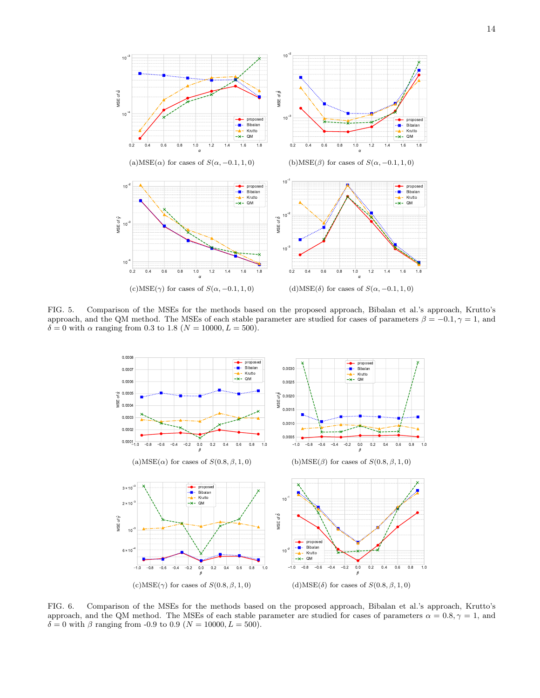

<span id="page-13-0"></span>FIG. 5. Comparison of the MSEs for the methods based on the proposed approach, Bibalan et al.'s approach, Krutto's approach, and the QM method. The MSEs of each stable parameter are studied for cases of parameters  $\beta = -0.1, \gamma = 1$ , and δ = 0 with α ranging from 0.3 to 1.8 ( $N = 10000, L = 500$ ).



<span id="page-13-1"></span>FIG. 6. Comparison of the MSEs for the methods based on the proposed approach, Bibalan et al.'s approach, Krutto's approach, and the QM method. The MSEs of each stable parameter are studied for cases of parameters  $\alpha = 0.8, \gamma = 1$ , and δ = 0 with β ranging from -0.9 to 0.9 ( $N = 10000, L = 500$ ).